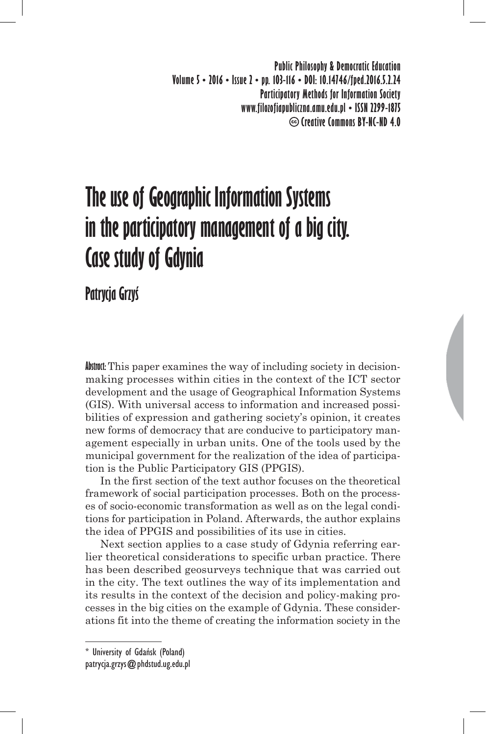**Public Philosophy & Democratic Education Volume 5 • 2016 • Issue 2 • pp. 103-116 • DOI: 10.14746/fped.2016.5.2.24 Participatory Methods for Information Society www.filozofiapubliczna.amu.edu.pl • ISSN 2299-1875 Creative Commons BY-NC-ND 4.0**

# **The use of Geographic Information Systems in the participatory management of a big city. Case study of Gdynia**

**Patrycja Grzyś**

**Abstract:** This paper examines the way of including society in decisionmaking processes within cities in the context of the ICT sector development and the usage of Geographical Information Systems (GIS). With universal access to information and increased possibilities of expression and gathering society's opinion, it creates new forms of democracy that are conducive to participatory management especially in urban units. One of the tools used by the municipal government for the realization of the idea of participation is the Public Participatory GIS (PPGIS).

In the first section of the text author focuses on the theoretical framework of social participation processes. Both on the processes of socio-economic transformation as well as on the legal conditions for participation in Poland. Afterwards, the author explains the idea of PPGIS and possibilities of its use in cities.

Next section applies to a case study of Gdynia referring earlier theoretical considerations to specific urban practice. There has been described geosurveys technique that was carried out in the city. The text outlines the way of its implementation and its results in the context of the decision and policy-making processes in the big cities on the example of Gdynia. These considerations fit into the theme of creating the information society in the

<sup>\*</sup> University of Gdańsk (Poland) patrycja.grzys@phdstud.ug.edu.pl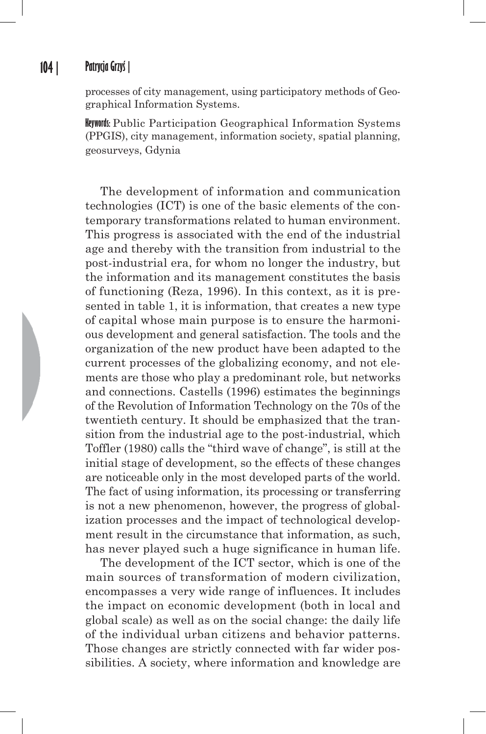#### **104 | Patrycja Grzyś |**

processes of city management, using participatory methods of Geographical Information Systems.

**Keywords:** Public Participation Geographical Information Systems (PPGIS), city management, information society, spatial planning, geosurveys, Gdynia

The development of information and communication technologies (ICT) is one of the basic elements of the contemporary transformations related to human environment. This progress is associated with the end of the industrial age and thereby with the transition from industrial to the post-industrial era, for whom no longer the industry, but the information and its management constitutes the basis of functioning (Reza, 1996). In this context, as it is presented in table 1, it is information, that creates a new type of capital whose main purpose is to ensure the harmonious development and general satisfaction. The tools and the organization of the new product have been adapted to the current processes of the globalizing economy, and not elements are those who play a predominant role, but networks and connections. Castells (1996) estimates the beginnings of the Revolution of Information Technology on the 70s of the twentieth century. It should be emphasized that the transition from the industrial age to the post-industrial, which Toffler (1980) calls the "third wave of change", is still at the initial stage of development, so the effects of these changes are noticeable only in the most developed parts of the world. The fact of using information, its processing or transferring is not a new phenomenon, however, the progress of globalization processes and the impact of technological development result in the circumstance that information, as such, has never played such a huge significance in human life.

The development of the ICT sector, which is one of the main sources of transformation of modern civilization, encompasses a very wide range of influences. It includes the impact on economic development (both in local and global scale) as well as on the social change: the daily life of the individual urban citizens and behavior patterns. Those changes are strictly connected with far wider possibilities. A society, where information and knowledge are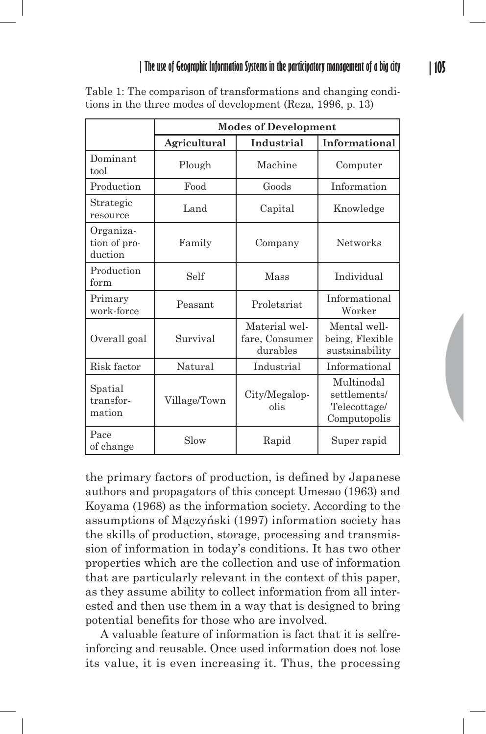|                                      | <b>Modes of Development</b> |                                             |                                                            |
|--------------------------------------|-----------------------------|---------------------------------------------|------------------------------------------------------------|
|                                      | <b>Agricultural</b>         | Industrial                                  | Informational                                              |
| Dominant<br>tool                     | Plough                      | Machine                                     | Computer                                                   |
| Production                           | Food                        | Goods                                       | Information                                                |
| Strategic<br>resource                | Land                        | Capital                                     | Knowledge                                                  |
| Organiza-<br>tion of pro-<br>duction | Family                      | Company                                     | <b>Networks</b>                                            |
| Production<br>form                   | Self                        | Mass                                        | Individual                                                 |
| Primary<br>work-force                | Peasant                     | Proletariat                                 | Informational<br>Worker                                    |
| Overall goal                         | Survival                    | Material wel-<br>fare, Consumer<br>durables | Mental well-<br>being, Flexible<br>sustainability          |
| Risk factor                          | Natural                     | Industrial                                  | Informational                                              |
| Spatial<br>transfor-<br>mation       | Village/Town                | City/Megalop-<br>olis                       | Multinodal<br>settlements/<br>Telecottage/<br>Computopolis |
| Pace<br>of change                    | Slow                        | Rapid                                       | Super rapid                                                |

Table 1: The comparison of transformations and changing conditions in the three modes of development (Reza, 1996, p. 13)

the primary factors of production, is defined by Japanese authors and propagators of this concept Umesao (1963) and Koyama (1968) as the information society. According to the assumptions of Mączyński (1997) information society has the skills of production, storage, processing and transmission of information in today's conditions. It has two other properties which are the collection and use of information that are particularly relevant in the context of this paper, as they assume ability to collect information from all interested and then use them in a way that is designed to bring potential benefits for those who are involved.

A valuable feature of information is fact that it is selfreinforcing and reusable. Once used information does not lose its value, it is even increasing it. Thus, the processing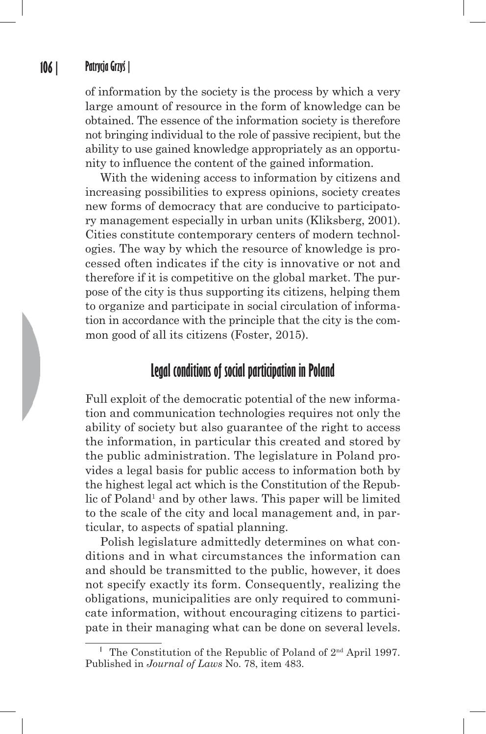of information by the society is the process by which a very large amount of resource in the form of knowledge can be obtained. The essence of the information society is therefore not bringing individual to the role of passive recipient, but the ability to use gained knowledge appropriately as an opportunity to influence the content of the gained information.

With the widening access to information by citizens and increasing possibilities to express opinions, society creates new forms of democracy that are conducive to participatory management especially in urban units (Kliksberg, 2001). Cities constitute contemporary centers of modern technologies. The way by which the resource of knowledge is processed often indicates if the city is innovative or not and therefore if it is competitive on the global market. The purpose of the city is thus supporting its citizens, helping them to organize and participate in social circulation of information in accordance with the principle that the city is the common good of all its citizens (Foster, 2015).

#### **Legal conditions of social participation in Poland**

Full exploit of the democratic potential of the new information and communication technologies requires not only the ability of society but also guarantee of the right to access the information, in particular this created and stored by the public administration. The legislature in Poland provides a legal basis for public access to information both by the highest legal act which is the Constitution of the Republic of Poland<sup>1</sup> and by other laws. This paper will be limited to the scale of the city and local management and, in particular, to aspects of spatial planning.

Polish legislature admittedly determines on what conditions and in what circumstances the information can and should be transmitted to the public, however, it does not specify exactly its form. Consequently, realizing the obligations, municipalities are only required to communicate information, without encouraging citizens to participate in their managing what can be done on several levels.

**<sup>1</sup>** The Constitution of the Republic of Poland of 2nd April 1997. Published in *Journal of Laws* No. 78, item 483.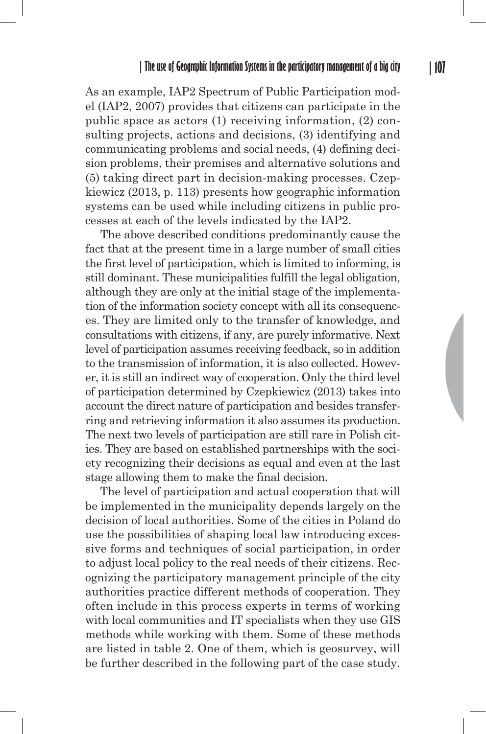As an example, IAP2 Spectrum of Public Participation model (IAP2, 2007) provides that citizens can participate in the public space as actors (1) receiving information, (2) consulting projects, actions and decisions, (3) identifying and communicating problems and social needs, (4) defining decision problems, their premises and alternative solutions and (5) taking direct part in decision-making processes. Czepkiewicz (2013, p. 113) presents how geographic information systems can be used while including citizens in public processes at each of the levels indicated by the IAP2.

The above described conditions predominantly cause the fact that at the present time in a large number of small cities the first level of participation, which is limited to informing, is still dominant. These municipalities fulfill the legal obligation, although they are only at the initial stage of the implementation of the information society concept with all its consequences. They are limited only to the transfer of knowledge, and consultations with citizens, if any, are purely informative. Next level of participation assumes receiving feedback, so in addition to the transmission of information, it is also collected. However, it is still an indirect way of cooperation. Only the third level of participation determined by Czepkiewicz (2013) takes into account the direct nature of participation and besides transferring and retrieving information it also assumes its production. The next two levels of participation are still rare in Polish cities. They are based on established partnerships with the society recognizing their decisions as equal and even at the last stage allowing them to make the final decision.

The level of participation and actual cooperation that will be implemented in the municipality depends largely on the decision of local authorities. Some of the cities in Poland do use the possibilities of shaping local law introducing excessive forms and techniques of social participation, in order to adjust local policy to the real needs of their citizens. Recognizing the participatory management principle of the city authorities practice different methods of cooperation. They often include in this process experts in terms of working with local communities and IT specialists when they use GIS methods while working with them. Some of these methods are listed in table 2. One of them, which is geosurvey, will be further described in the following part of the case study.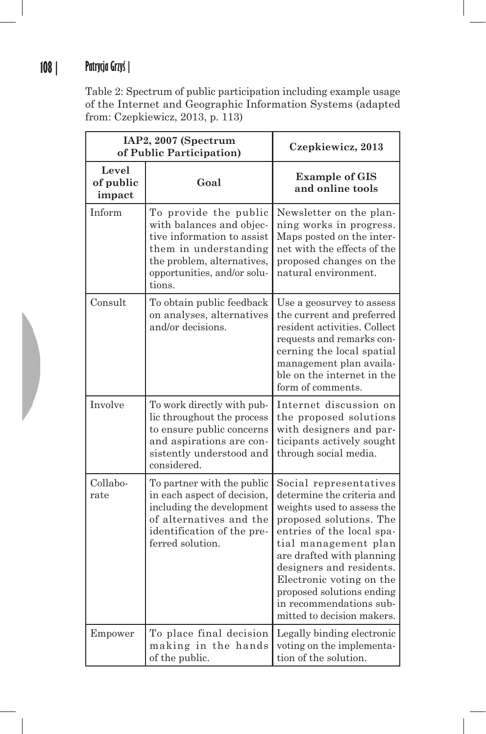# **108 | Patrycja Grzyś |**

Table 2: Spectrum of public participation including example usage of the Internet and Geographic Information Systems (adapted from: Czepkiewicz, 2013, p. 113)

| IAP2, 2007 (Spectrum<br>of Public Participation) |                                                                                                                                                                                 | Czepkiewicz, 2013                                                                                                                                                                                                                                                                                                                             |
|--------------------------------------------------|---------------------------------------------------------------------------------------------------------------------------------------------------------------------------------|-----------------------------------------------------------------------------------------------------------------------------------------------------------------------------------------------------------------------------------------------------------------------------------------------------------------------------------------------|
| Level<br>of public<br>impact                     | Goal                                                                                                                                                                            | <b>Example of GIS</b><br>and online tools                                                                                                                                                                                                                                                                                                     |
| Inform                                           | To provide the public<br>with balances and objec-<br>tive information to assist<br>them in understanding<br>the problem, alternatives,<br>opportunities, and/or solu-<br>tions. | Newsletter on the plan-<br>ning works in progress.<br>Maps posted on the inter-<br>net with the effects of the<br>proposed changes on the<br>natural environment.                                                                                                                                                                             |
| Consult                                          | To obtain public feedback<br>on analyses, alternatives<br>and/or decisions.                                                                                                     | Use a geosurvey to assess<br>the current and preferred<br>resident activities. Collect<br>requests and remarks con-<br>cerning the local spatial<br>management plan availa-<br>ble on the internet in the<br>form of comments.                                                                                                                |
| Involve                                          | To work directly with pub-<br>lic throughout the process<br>to ensure public concerns<br>and aspirations are con-<br>sistently understood and<br>considered.                    | Internet discussion on<br>the proposed solutions<br>with designers and par-<br>ticipants actively sought<br>through social media.                                                                                                                                                                                                             |
| Collabo-<br>rate                                 | To partner with the public<br>in each aspect of decision,<br>including the development<br>of alternatives and the<br>identification of the pre-<br>ferred solution.             | Social representatives<br>determine the criteria and<br>weights used to assess the<br>proposed solutions. The<br>entries of the local spa-<br>tial management plan<br>are drafted with planning<br>designers and residents.<br>Electronic voting on the<br>proposed solutions ending<br>in recommendations sub-<br>mitted to decision makers. |
| Empower                                          | To place final decision<br>making in the hands<br>of the public.                                                                                                                | Legally binding electronic<br>voting on the implementa-<br>tion of the solution.                                                                                                                                                                                                                                                              |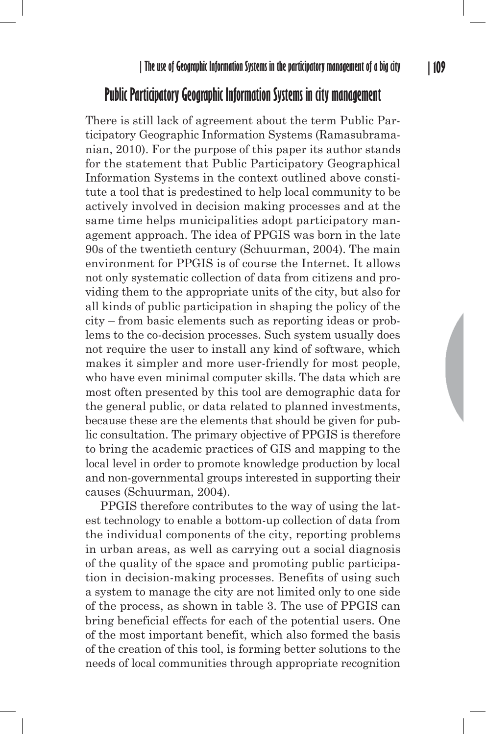#### **Public Participatory Geographic Information Systems in city management**

There is still lack of agreement about the term Public Participatory Geographic Information Systems (Ramasubramanian, 2010). For the purpose of this paper its author stands for the statement that Public Participatory Geographical Information Systems in the context outlined above constitute a tool that is predestined to help local community to be actively involved in decision making processes and at the same time helps municipalities adopt participatory management approach. The idea of PPGIS was born in the late 90s of the twentieth century (Schuurman, 2004). The main environment for PPGIS is of course the Internet. It allows not only systematic collection of data from citizens and providing them to the appropriate units of the city, but also for all kinds of public participation in shaping the policy of the city – from basic elements such as reporting ideas or problems to the co-decision processes. Such system usually does not require the user to install any kind of software, which makes it simpler and more user-friendly for most people, who have even minimal computer skills. The data which are most often presented by this tool are demographic data for the general public, or data related to planned investments, because these are the elements that should be given for public consultation. The primary objective of PPGIS is therefore to bring the academic practices of GIS and mapping to the local level in order to promote knowledge production by local and non-governmental groups interested in supporting their causes (Schuurman, 2004).

PPGIS therefore contributes to the way of using the latest technology to enable a bottom-up collection of data from the individual components of the city, reporting problems in urban areas, as well as carrying out a social diagnosis of the quality of the space and promoting public participation in decision-making processes. Benefits of using such a system to manage the city are not limited only to one side of the process, as shown in table 3. The use of PPGIS can bring beneficial effects for each of the potential users. One of the most important benefit, which also formed the basis of the creation of this tool, is forming better solutions to the needs of local communities through appropriate recognition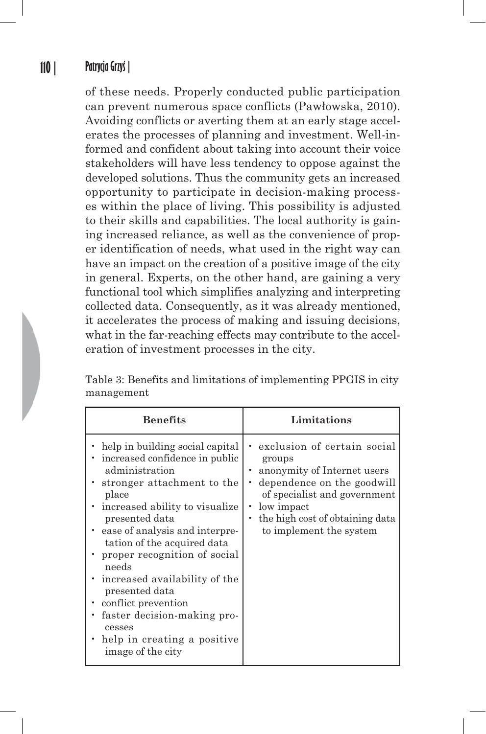#### **110 | Patrycja Grzyś |**

of these needs. Properly conducted public participation can prevent numerous space conflicts (Pawłowska, 2010). Avoiding conflicts or averting them at an early stage accelerates the processes of planning and investment. Well-informed and confident about taking into account their voice stakeholders will have less tendency to oppose against the developed solutions. Thus the community gets an increased opportunity to participate in decision-making processes within the place of living. This possibility is adjusted to their skills and capabilities. The local authority is gaining increased reliance, as well as the convenience of proper identification of needs, what used in the right way can have an impact on the creation of a positive image of the city in general. Experts, on the other hand, are gaining a very functional tool which simplifies analyzing and interpreting collected data. Consequently, as it was already mentioned, it accelerates the process of making and issuing decisions, what in the far-reaching effects may contribute to the acceleration of investment processes in the city.

Table 3: Benefits and limitations of implementing PPGIS in city management

| <b>Benefits</b>                                                                                                                                                                                                                                                                                                                                                                                                                                                                   | Limitations                                                                                                                                                                                                    |
|-----------------------------------------------------------------------------------------------------------------------------------------------------------------------------------------------------------------------------------------------------------------------------------------------------------------------------------------------------------------------------------------------------------------------------------------------------------------------------------|----------------------------------------------------------------------------------------------------------------------------------------------------------------------------------------------------------------|
| • help in building social capital<br>• increased confidence in public<br>administration<br>• stronger attachment to the<br>place<br>• increased ability to visualize<br>presented data<br>• ease of analysis and interpre-<br>tation of the acquired data<br>• proper recognition of social<br>needs<br>• increased availability of the<br>presented data<br>• conflict prevention<br>faster decision-making pro-<br>cesses<br>• help in creating a positive<br>image of the city | exclusion of certain social<br>groups<br>anonymity of Internet users<br>dependence on the goodwill<br>of specialist and government<br>low impact<br>the high cost of obtaining data<br>to implement the system |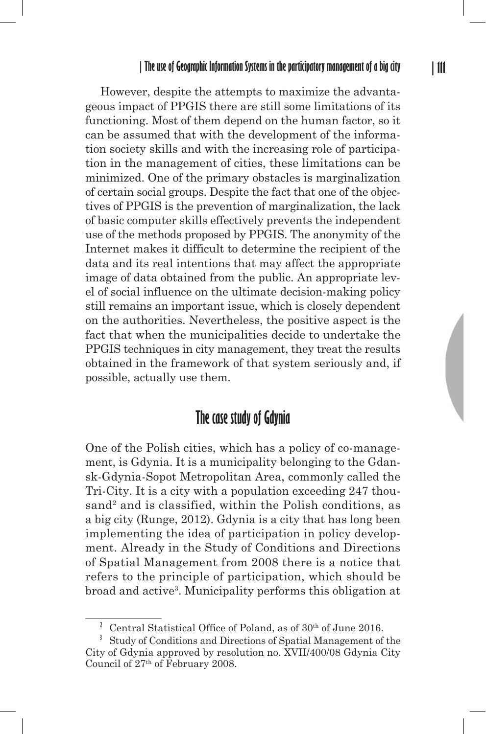However, despite the attempts to maximize the advantageous impact of PPGIS there are still some limitations of its functioning. Most of them depend on the human factor, so it can be assumed that with the development of the information society skills and with the increasing role of participation in the management of cities, these limitations can be minimized. One of the primary obstacles is marginalization of certain social groups. Despite the fact that one of the objectives of PPGIS is the prevention of marginalization, the lack of basic computer skills effectively prevents the independent use of the methods proposed by PPGIS. The anonymity of the Internet makes it difficult to determine the recipient of the data and its real intentions that may affect the appropriate image of data obtained from the public. An appropriate level of social influence on the ultimate decision-making policy still remains an important issue, which is closely dependent on the authorities. Nevertheless, the positive aspect is the fact that when the municipalities decide to undertake the PPGIS techniques in city management, they treat the results obtained in the framework of that system seriously and, if possible, actually use them.

#### **The case study of Gdynia**

One of the Polish cities, which has a policy of co-management, is Gdynia. It is a municipality belonging to the Gdansk-Gdynia-Sopot Metropolitan Area, commonly called the Tri-City. It is a city with a population exceeding 247 thousand<sup>2</sup> and is classified, within the Polish conditions, as a big city (Runge, 2012). Gdynia is a city that has long been implementing the idea of participation in policy development. Already in the Study of Conditions and Directions of Spatial Management from 2008 there is a notice that refers to the principle of participation, which should be broad and active<sup>3</sup>. Municipality performs this obligation at

Central Statistical Office of Poland, as of 30<sup>th</sup> of June 2016.

**<sup>3</sup>** Study of Conditions and Directions of Spatial Management of the City of Gdynia approved by resolution no. XVII/400/08 Gdynia City Council of  $27<sup>th</sup>$  of February 2008.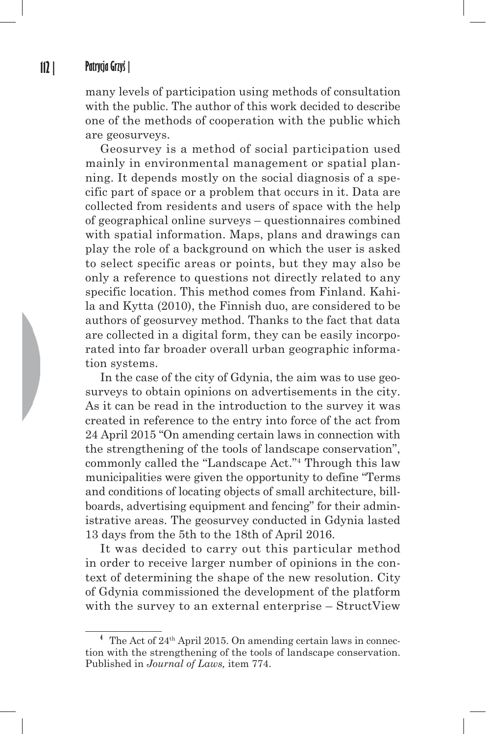many levels of participation using methods of consultation with the public. The author of this work decided to describe one of the methods of cooperation with the public which are geosurveys.

Geosurvey is a method of social participation used mainly in environmental management or spatial planning. It depends mostly on the social diagnosis of a specific part of space or a problem that occurs in it. Data are collected from residents and users of space with the help of geographical online surveys – questionnaires combined with spatial information. Maps, plans and drawings can play the role of a background on which the user is asked to select specific areas or points, but they may also be only a reference to questions not directly related to any specific location. This method comes from Finland. Kahila and Kytta (2010), the Finnish duo, are considered to be authors of geosurvey method. Thanks to the fact that data are collected in a digital form, they can be easily incorporated into far broader overall urban geographic information systems.

In the case of the city of Gdynia, the aim was to use geosurveys to obtain opinions on advertisements in the city. As it can be read in the introduction to the survey it was created in reference to the entry into force of the act from 24 April 2015 "On amending certain laws in connection with the strengthening of the tools of landscape conservation", commonly called the "Landscape Act."4 Through this law municipalities were given the opportunity to define "Terms and conditions of locating objects of small architecture, billboards, advertising equipment and fencing" for their administrative areas. The geosurvey conducted in Gdynia lasted 13 days from the 5th to the 18th of April 2016.

It was decided to carry out this particular method in order to receive larger number of opinions in the context of determining the shape of the new resolution. City of Gdynia commissioned the development of the platform with the survey to an external enterprise – StructView

**<sup>4</sup>** The Act of 24th April 2015. On amending certain laws in connection with the strengthening of the tools of landscape conservation. Published in *Journal of Laws,* item 774.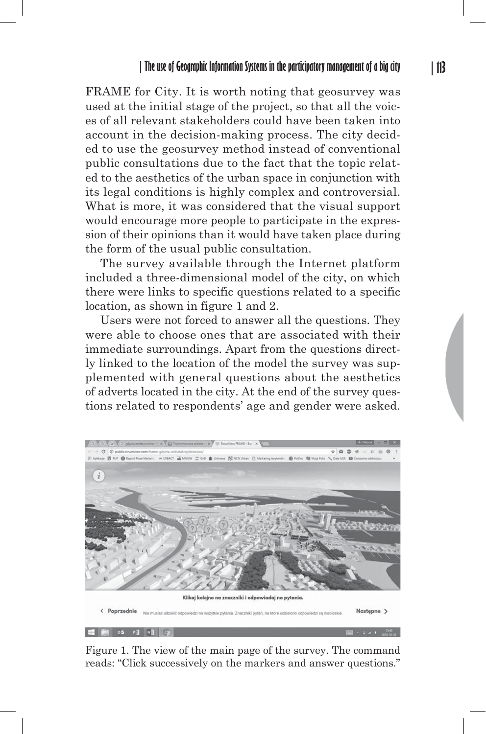FRAME for City. It is worth noting that geosurvey was used at the initial stage of the project, so that all the voices of all relevant stakeholders could have been taken into account in the decision-making process. The city decided to use the geosurvey method instead of conventional public consultations due to the fact that the topic related to the aesthetics of the urban space in conjunction with its legal conditions is highly complex and controversial. What is more, it was considered that the visual support would encourage more people to participate in the expression of their opinions than it would have taken place during the form of the usual public consultation.

The survey available through the Internet platform included a three-dimensional model of the city, on which there were links to specific questions related to a specific location, as shown in figure 1 and 2.

Users were not forced to answer all the questions. They were able to choose ones that are associated with their immediate surroundings. Apart from the questions directly linked to the location of the model the survey was supplemented with general questions about the aesthetics of adverts located in the city. At the end of the survey questions related to respondents' age and gender were asked.



Figure 1. The view of the main page of the survey. The command reads: "Click successively on the markers and answer questions."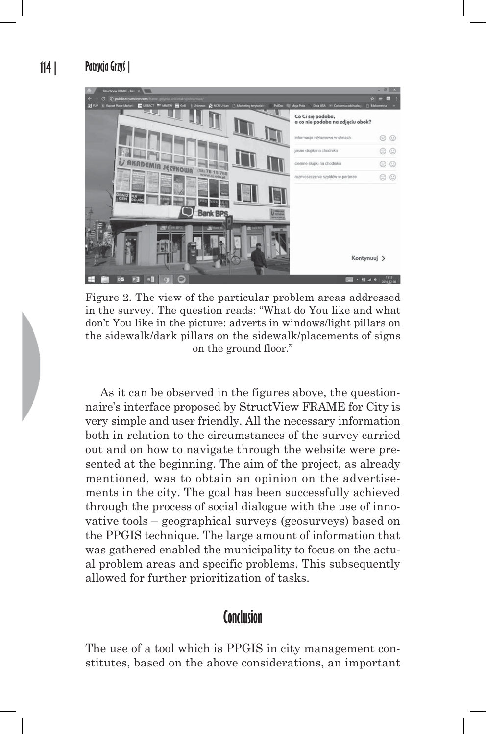

Figure 2. The view of the particular problem areas addressed in the survey. The question reads: "What do You like and what don't You like in the picture: adverts in windows/light pillars on the sidewalk/dark pillars on the sidewalk/placements of signs on the ground floor."

As it can be observed in the figures above, the questionnaire's interface proposed by StructView FRAME for City is very simple and user friendly. All the necessary information both in relation to the circumstances of the survey carried out and on how to navigate through the website were presented at the beginning. The aim of the project, as already mentioned, was to obtain an opinion on the advertisements in the city. The goal has been successfully achieved through the process of social dialogue with the use of innovative tools – geographical surveys (geosurveys) based on the PPGIS technique. The large amount of information that was gathered enabled the municipality to focus on the actual problem areas and specific problems. This subsequently allowed for further prioritization of tasks.

### **Conclusion**

The use of a tool which is PPGIS in city management constitutes, based on the above considerations, an important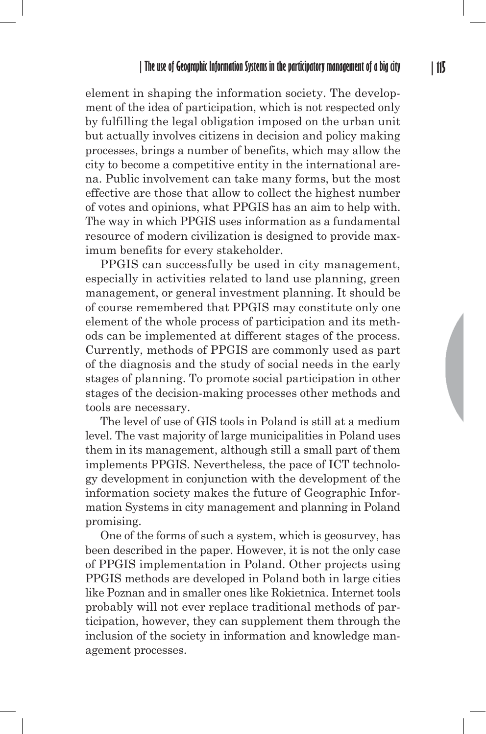element in shaping the information society. The development of the idea of participation, which is not respected only by fulfilling the legal obligation imposed on the urban unit but actually involves citizens in decision and policy making processes, brings a number of benefits, which may allow the city to become a competitive entity in the international arena. Public involvement can take many forms, but the most effective are those that allow to collect the highest number of votes and opinions, what PPGIS has an aim to help with. The way in which PPGIS uses information as a fundamental resource of modern civilization is designed to provide maximum benefits for every stakeholder.

PPGIS can successfully be used in city management, especially in activities related to land use planning, green management, or general investment planning. It should be of course remembered that PPGIS may constitute only one element of the whole process of participation and its methods can be implemented at different stages of the process. Currently, methods of PPGIS are commonly used as part of the diagnosis and the study of social needs in the early stages of planning. To promote social participation in other stages of the decision-making processes other methods and tools are necessary.

The level of use of GIS tools in Poland is still at a medium level. The vast majority of large municipalities in Poland uses them in its management, although still a small part of them implements PPGIS. Nevertheless, the pace of ICT technology development in conjunction with the development of the information society makes the future of Geographic Information Systems in city management and planning in Poland promising.

One of the forms of such a system, which is geosurvey, has been described in the paper. However, it is not the only case of PPGIS implementation in Poland. Other projects using PPGIS methods are developed in Poland both in large cities like Poznan and in smaller ones like Rokietnica. Internet tools probably will not ever replace traditional methods of participation, however, they can supplement them through the inclusion of the society in information and knowledge management processes.